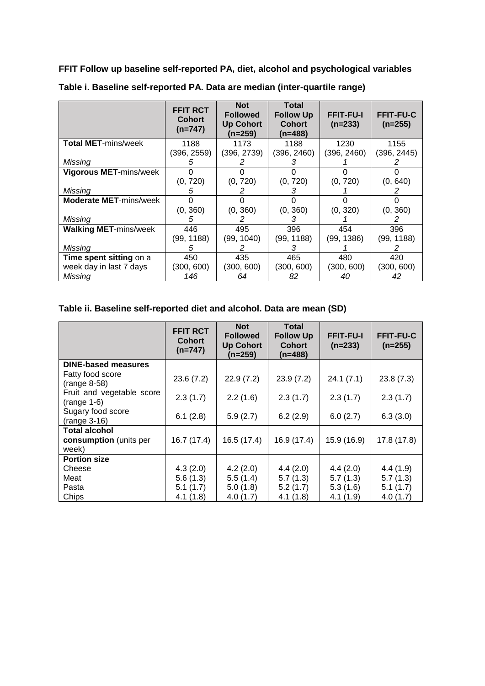**FFIT Follow up baseline self-reported PA, diet, alcohol and psychological variables**

|                               | <b>FFIT RCT</b><br><b>Cohort</b><br>$(n=747)$ | <b>Not</b><br><b>Followed</b><br><b>Up Cohort</b><br>$(n=259)$ | Total<br><b>Follow Up</b><br><b>Cohort</b><br>(n=488) | <b>FFIT-FU-I</b><br>$(n=233)$ | <b>FFIT-FU-C</b><br>$(n=255)$ |
|-------------------------------|-----------------------------------------------|----------------------------------------------------------------|-------------------------------------------------------|-------------------------------|-------------------------------|
| <b>Total MET-mins/week</b>    | 1188                                          | 1173                                                           | 1188                                                  | 1230                          | 1155                          |
|                               | (396, 2559)                                   | (396, 2739)                                                    | (396, 2460)                                           | (396, 2460)                   | (396, 2445)                   |
| Missing                       | 5                                             |                                                                |                                                       |                               |                               |
| Vigorous MET-mins/week        |                                               |                                                                |                                                       |                               |                               |
|                               | (0, 720)                                      | (0, 720)                                                       | (0, 720)                                              | (0, 720)                      | (0, 640)                      |
| Missina                       | 5                                             | 2                                                              | 3                                                     |                               | 2                             |
| <b>Moderate MET-mins/week</b> |                                               |                                                                |                                                       |                               |                               |
|                               | (0, 360)                                      | (0, 360)                                                       | (0, 360)                                              | (0, 320)                      | (0, 360)                      |
| Missing                       | 5                                             |                                                                | 3                                                     |                               |                               |
| <b>Walking MET-mins/week</b>  | 446                                           | 495                                                            | 396                                                   | 454                           | 396                           |
|                               | (99, 1188)                                    | (99, 1040)                                                     | (99, 1188)                                            | (99, 1386)                    | (99, 1188)                    |
| Missing                       | 5                                             |                                                                | 3                                                     |                               | 2                             |
| Time spent sitting on a       | 450                                           | 435                                                            | 465                                                   | 480                           | 420                           |
| week day in last 7 days       | (300, 600)                                    | (300, 600)                                                     | (300, 600)                                            | (300, 600)                    | (300, 600)                    |
| Missing                       | 146                                           | 64                                                             | 82                                                    | 40                            | 42                            |

**Table i. Baseline self-reported PA. Data are median (inter-quartile range)**

## **Table ii. Baseline self-reported diet and alcohol. Data are mean (SD)**

|                                            | <b>FFIT RCT</b><br><b>Cohort</b><br>$(n=747)$ | <b>Not</b><br><b>Followed</b><br><b>Up Cohort</b><br>$(n=259)$ | Total<br><b>Follow Up</b><br><b>Cohort</b><br>$(n=488)$ | <b>FFIT-FU-I</b><br>$(n=233)$ | <b>FFIT-FU-C</b><br>$(n=255)$ |
|--------------------------------------------|-----------------------------------------------|----------------------------------------------------------------|---------------------------------------------------------|-------------------------------|-------------------------------|
| <b>DINE-based measures</b>                 |                                               |                                                                |                                                         |                               |                               |
| Fatty food score<br>(range 8-58)           | 23.6(7.2)                                     | 22.9(7.2)                                                      | 23.9(7.2)                                               | 24.1(7.1)                     | 23.8(7.3)                     |
| Fruit and vegetable score<br>$(range 1-6)$ | 2.3(1.7)                                      | 2.2(1.6)                                                       | 2.3(1.7)                                                | 2.3(1.7)                      | 2.3(1.7)                      |
| Sugary food score<br>$(range 3-16)$        | 6.1(2.8)                                      | 5.9(2.7)                                                       | 6.2(2.9)                                                | 6.0(2.7)                      | 6.3(3.0)                      |
| <b>Total alcohol</b>                       |                                               |                                                                |                                                         |                               |                               |
| consumption (units per<br>week)            | 16.7 (17.4)                                   | 16.5(17.4)                                                     | 16.9 (17.4)                                             | 15.9 (16.9)                   | 17.8(17.8)                    |
| <b>Portion size</b>                        |                                               |                                                                |                                                         |                               |                               |
| Cheese                                     | 4.3(2.0)                                      | 4.2(2.0)                                                       | 4.4(2.0)                                                | 4.4(2.0)                      | 4.4(1.9)                      |
| Meat                                       | 5.6(1.3)                                      | 5.5(1.4)                                                       | 5.7(1.3)                                                | 5.7(1.3)                      | 5.7(1.3)                      |
| Pasta                                      | 5.1(1.7)                                      | 5.0(1.8)                                                       | 5.2(1.7)                                                | 5.3(1.6)                      | 5.1(1.7)                      |
| Chips                                      | 4.1 (1.8)                                     | 4.0(1.7)                                                       | 4.1(1.8)                                                | 4.1(1.9)                      | 4.0(1.7)                      |